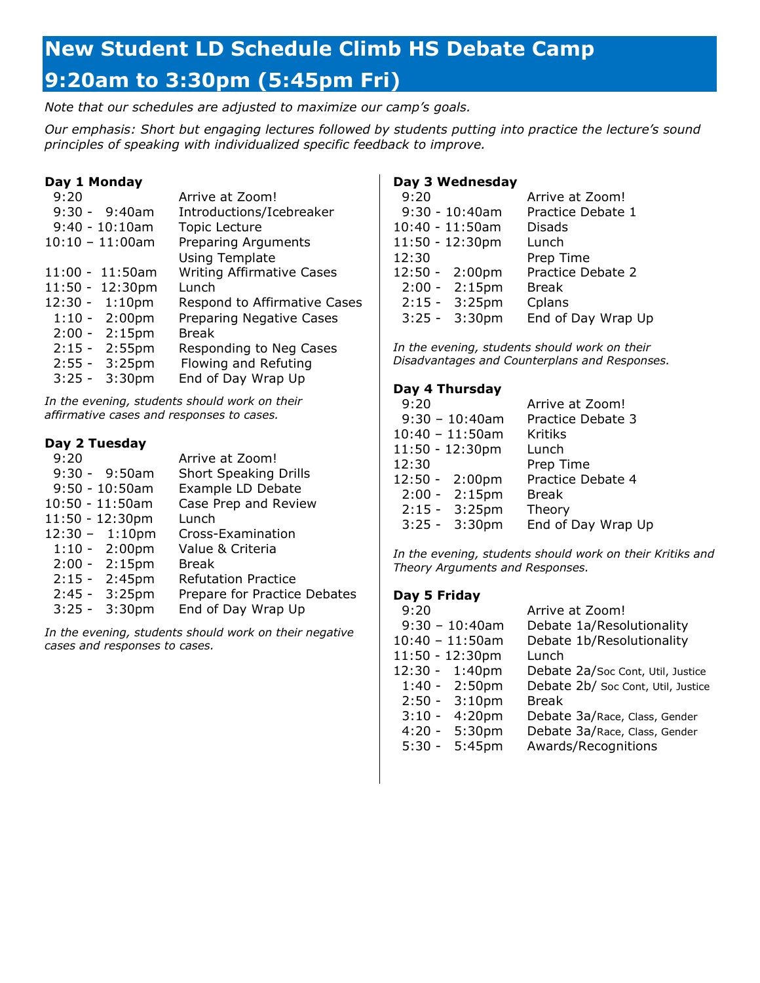# **New Student LD Schedule Climb HS Debate Camp 9:20am to 3:30pm (5:45pm Fri)**

*Note that our schedules are adjusted to maximize our camp's goals.*

*Our emphasis: Short but engaging lectures followed by students putting into practice the lecture's sound principles of speaking with individualized specific feedback to improve.*

# **Day 1 Monday**

| 9:20 |                           | Arrive at Zoom!                  |
|------|---------------------------|----------------------------------|
|      | $9:30 - 9:40am$           | Introductions/Icebreaker         |
|      | $9:40 - 10:10am$          | <b>Topic Lecture</b>             |
|      | $10:10 - 11:00$ am        | <b>Preparing Arguments</b>       |
|      |                           | <b>Using Template</b>            |
|      | $11:00 - 11:50$ am        | <b>Writing Affirmative Cases</b> |
|      | $11:50 - 12:30 \text{pm}$ | Lunch                            |
|      | $12:30 - 1:10 \text{pm}$  | Respond to Affirmative Cases     |
|      | $1:10 - 2:00 \text{pm}$   | <b>Preparing Negative Cases</b>  |
|      | $2:00 - 2:15$ pm          | <b>Break</b>                     |
|      | $2:15 - 2:55$ pm          | Responding to Neg Cases          |
|      | $2:55 - 3:25$ pm          | Flowing and Refuting             |
|      | $3:25 - 3:30 \text{pm}$   | End of Day Wrap Up               |

*In the evening, students should work on their affirmative cases and responses to cases.*

# **Day 2 Tuesday**

| 9:20 |                          | Arrive at Zoom!              |
|------|--------------------------|------------------------------|
|      | $9:30 - 9:50am$          | <b>Short Speaking Drills</b> |
|      | $9:50 - 10:50$ am        | Example LD Debate            |
|      | $10:50 - 11:50am$        | Case Prep and Review         |
|      | $11:50 - 12:30$ pm       | Lunch                        |
|      | $12:30 - 1:10 \text{pm}$ | Cross-Examination            |
|      | $1:10 - 2:00 \text{pm}$  | Value & Criteria             |
|      | $2:00 - 2:15$ pm         | <b>Break</b>                 |
|      | $2:15 - 2:45$ pm         | <b>Refutation Practice</b>   |
|      | $2:45 - 3:25$ pm         | Prepare for Practice Debates |
|      | $3:25 - 3:30 \text{pm}$  | End of Day Wrap Up           |

*In the evening, students should work on their negative cases and responses to cases.*

## **Day 3 Wednesday**

| 9:20                     | Arrive at Zoom!    |
|--------------------------|--------------------|
| $9:30 - 10:40$ am        | Practice Debate 1  |
| $10:40 - 11:50am$        | <b>Disads</b>      |
| $11:50 - 12:30$ pm       | Lunch              |
| 12:30                    | Prep Time          |
| $12:50 - 2:00 \text{pm}$ | Practice Debate 2  |
| $2:00 - 2:15$ pm         | <b>Break</b>       |
| $2:15 - 3:25$ pm         | Cplans             |
| $3:25 - 3:30 \text{pm}$  | End of Day Wrap Up |

*In the evening, students should work on their Disadvantages and Counterplans and Responses.*

#### **Day 4 Thursday**

| 9:20                     | Arrive at Zoom!    |
|--------------------------|--------------------|
| $9:30 - 10:40$ am        | Practice Debate 3  |
| $10:40 - 11:50$ am       | <b>Kritiks</b>     |
| 11:50 - 12:30pm          | Lunch              |
| 12:30                    | Prep Time          |
| $12:50 - 2:00 \text{pm}$ | Practice Debate 4  |
| $2:00 - 2:15$ pm         | <b>Break</b>       |
| $2:15 - 3:25$ pm         | Theory             |
| $3:25 - 3:30$ pm         | End of Day Wrap Up |

*In the evening, students should work on their Kritiks and Theory Arguments and Responses.*

### **Day 5 Friday**

| 9:20     |                         | Arrive at Zoom!                    |
|----------|-------------------------|------------------------------------|
|          | $9:30 - 10:40$ am       | Debate 1a/Resolutionality          |
|          | $10:40 - 11:50$ am      | Debate 1b/Resolutionality          |
|          | 11:50 - 12:30pm         | Lunch                              |
|          | 12:30 - 1:40pm          | Debate 2a/Soc Cont, Util, Justice  |
|          | $1:40 - 2:50 \text{pm}$ | Debate 2b/ Soc Cont, Util, Justice |
|          | $2:50 - 3:10 \text{pm}$ | <b>Break</b>                       |
| $3:10 -$ | 4:20 <sub>pm</sub>      | Debate 3a/Race, Class, Gender      |
|          | $4:20 - 5:30 \text{pm}$ | Debate 3a/Race, Class, Gender      |
|          | $5:30 - 5:45$ pm        | Awards/Recognitions                |
|          |                         |                                    |